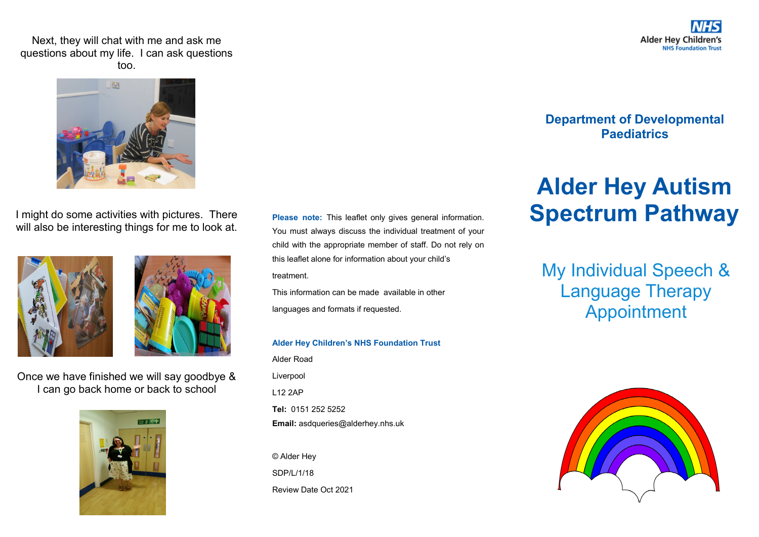Next, they will chat with me and ask me questions about my life. I can ask questions too.



I might do some activities with pictures. There will also be interesting things for me to look at.





Once we have finished we will say goodbye & I can go back home or back to school



**Please note:** This leaflet only gives general information. You must always discuss the individual treatment of your child with the appropriate member of staff. Do not rely on this leaflet alone for information about your child's treatment.

This information can be made available in other languages and formats if requested.

## **Alder Hey Children's NHS Foundation Trust**

Alder Road Liverpool L12 2AP **Tel:** 0151 252 5252 **Email:** asdqueries@alderhey.nhs.uk

© Alder Hey SDP/L/1/18 Review Date Oct 2021

## **Department of Developmental Paediatrics**

## **Alder Hey Autism Spectrum Pathway**

My Individual Speech & Language Therapy Appointment